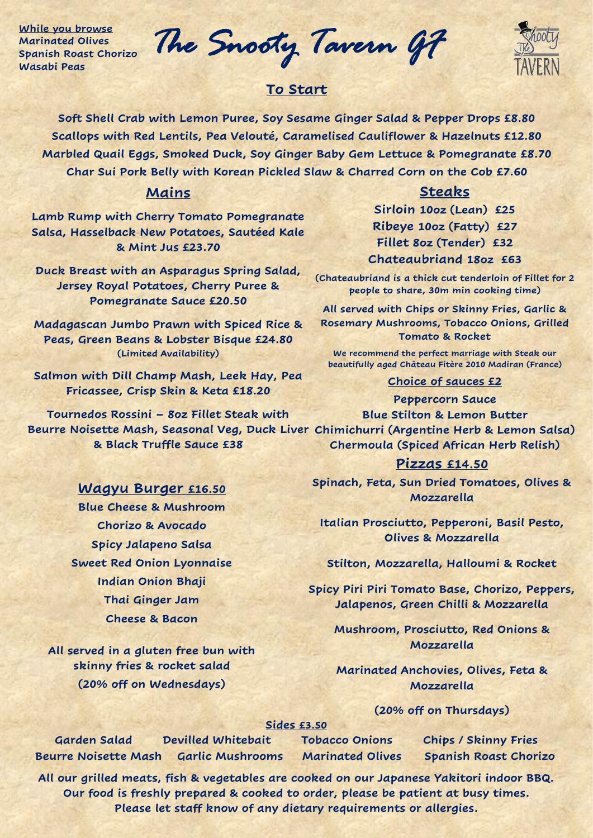**While you browse Marinated Olives Spanish Roast Chorizo Wasabi Peas**

*The Snooty Tavern GF* 

# **To Start**

**Soft Shell Crab with Lemon Puree, Soy Sesame Ginger Salad & Pepper Drops £8.80 Scallops with Red Lentils, Pea Velouté, Caramelised Cauliflower & Hazelnuts £12.80 Marbled Quail Eggs, Smoked Duck, Soy Ginger Baby Gem Lettuce & Pomegranate £8.70 Char Sui Pork Belly with Korean Pickled Slaw & Charred Corn on the Cob £7.60**

# **Mains**

**Lamb Rump with Cherry Tomato Pomegranate Salsa, Hasselback New Potatoes, Sautéed Kale & Mint Jus £23.70**

**Duck Breast with an Asparagus Spring Salad, Jersey Royal Potatoes, Cherry Puree & Pomegranate Sauce £20.50**

**Madagascan Jumbo Prawn with Spiced Rice & Peas, Green Beans & Lobster Bisque £24.80 (Limited Availability)**

**Salmon with Dill Champ Mash, Leek Hay, Pea Fricassee, Crisp Skin & Keta £18.20**

**Tournedos Rossini – 8oz Fillet Steak with Beurre Noisette Mash, Seasonal Veg, Duck Liver Chimichurri (Argentine Herb & Lemon Salsa) & Black Truffle Sauce £38**

# **Steaks**

**Sirloin 10oz (Lean) £25 Ribeye 10oz (Fatty) £27 Fillet 8oz (Tender) £32 Chateaubriand 18oz £63**

**(Chateaubriand is a thick cut tenderloin of Fillet for 2 people to share, 30m min cooking time)**

**All served with Chips or Skinny Fries, Garlic & Rosemary Mushrooms, Tobacco Onions, Grilled Tomato & Rocket**

**We recommend the perfect marriage with Steak our beautifully aged Château Fitère 2010 Madiran (France)**

#### **Choice of sauces £2**

**Peppercorn Sauce Blue Stilton & Lemon Butter Chermoula (Spiced African Herb Relish)** 

## **Pizzas £14.50**

**Spinach, Feta, Sun Dried Tomatoes, Olives & Mozzarella**

**Italian Prosciutto, Pepperoni, Basil Pesto, Olives & Mozzarella**

**Stilton, Mozzarella, Halloumi & Rocket**

**Spicy Piri Piri Tomato Base, Chorizo, Peppers, Jalapenos, Green Chilli & Mozzarella**

**Mushroom, Prosciutto, Red Onions & Mozzarella**

**Marinated Anchovies, Olives, Feta & Mozzarella**

### **(20% off on Thursdays)**

#### **Sides £3.50**

**Garden Salad Devilled Whitebait Tobacco Onions Chips / Skinny Fries Beurre Noisette Mash Garlic Mushrooms Marinated Olives Spanish Roast Chorizo** 

**All our grilled meats, fish & vegetables are cooked on our Japanese Yakitori indoor BBQ. Our food is freshly prepared & cooked to order, please be patient at busy times. Please let staff know of any dietary requirements or allergies.** 

# **Wagyu Burger £16.50**

**Blue Cheese & Mushroom Chorizo & Avocado Spicy Jalapeno Salsa Sweet Red Onion Lyonnaise Indian Onion Bhaji Thai Ginger Jam Cheese & Bacon**

**All served in a gluten free bun with skinny fries & rocket salad (20% off on Wednesdays)**